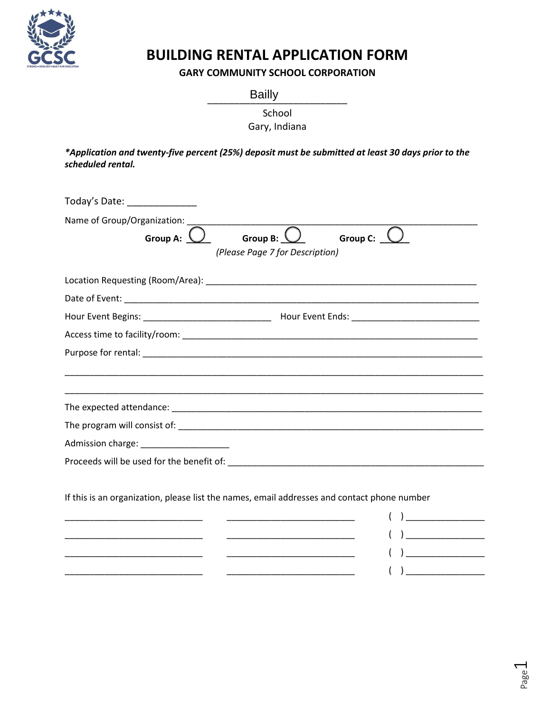

# **BUILDING RENTAL APPLICATION FORM**

**GARY COMMUNITY SCHOOL CORPORATION**

\_\_\_\_\_\_\_\_\_\_\_\_\_\_\_\_\_\_\_\_\_\_\_\_\_\_ Bailly

School

Gary, Indiana

*\*Application and twenty-five percent (25%) deposit must be submitted at least 30 days prior to the scheduled rental.* 

| Today's Date: ________________                                                                                                                                                                                        |                                                                                                                                                                                                                                                                                                                                                                                                                                                                                                                                                                                                                                                                                                                               |
|-----------------------------------------------------------------------------------------------------------------------------------------------------------------------------------------------------------------------|-------------------------------------------------------------------------------------------------------------------------------------------------------------------------------------------------------------------------------------------------------------------------------------------------------------------------------------------------------------------------------------------------------------------------------------------------------------------------------------------------------------------------------------------------------------------------------------------------------------------------------------------------------------------------------------------------------------------------------|
| Name of Group/Organization:<br>Group A: $\underline{\setminus}$<br>Group B: $\sqrt{ }$<br>(Please Page 7 for Description)                                                                                             | Group C:                                                                                                                                                                                                                                                                                                                                                                                                                                                                                                                                                                                                                                                                                                                      |
|                                                                                                                                                                                                                       |                                                                                                                                                                                                                                                                                                                                                                                                                                                                                                                                                                                                                                                                                                                               |
|                                                                                                                                                                                                                       |                                                                                                                                                                                                                                                                                                                                                                                                                                                                                                                                                                                                                                                                                                                               |
|                                                                                                                                                                                                                       |                                                                                                                                                                                                                                                                                                                                                                                                                                                                                                                                                                                                                                                                                                                               |
|                                                                                                                                                                                                                       |                                                                                                                                                                                                                                                                                                                                                                                                                                                                                                                                                                                                                                                                                                                               |
|                                                                                                                                                                                                                       |                                                                                                                                                                                                                                                                                                                                                                                                                                                                                                                                                                                                                                                                                                                               |
|                                                                                                                                                                                                                       |                                                                                                                                                                                                                                                                                                                                                                                                                                                                                                                                                                                                                                                                                                                               |
|                                                                                                                                                                                                                       |                                                                                                                                                                                                                                                                                                                                                                                                                                                                                                                                                                                                                                                                                                                               |
| If this is an organization, please list the names, email addresses and contact phone number<br><u> 1989 - Johann John Harry Harry Harry Harry Harry Harry Harry Harry Harry Harry Harry Harry Harry Harry Harry H</u> | <u> 1990 - Johann John Harry Harry Harry Harry Harry Harry Harry Harry Harry Harry Harry Harry Harry Harry Harry H</u><br>$\begin{picture}(20,10) \put(0,0){\line(1,0){10}} \put(15,0){\line(1,0){10}} \put(15,0){\line(1,0){10}} \put(15,0){\line(1,0){10}} \put(15,0){\line(1,0){10}} \put(15,0){\line(1,0){10}} \put(15,0){\line(1,0){10}} \put(15,0){\line(1,0){10}} \put(15,0){\line(1,0){10}} \put(15,0){\line(1,0){10}} \put(15,0){\line(1,0){10}} \put(15,0){\line(1$<br><u> 1989 - Johann John Stone, markin amerikan bisa di sebagai persebut dan bisa di sebagai persebut dan persebut</u><br><u> 1989 - Johann John Stein, markin fan it ferstjer fan it ferstjer fan it ferstjer fan it ferstjer fan it fers</u> |
|                                                                                                                                                                                                                       | the control of the control of the control of the control of the control of                                                                                                                                                                                                                                                                                                                                                                                                                                                                                                                                                                                                                                                    |

Page  $\overline{\phantom{0}}$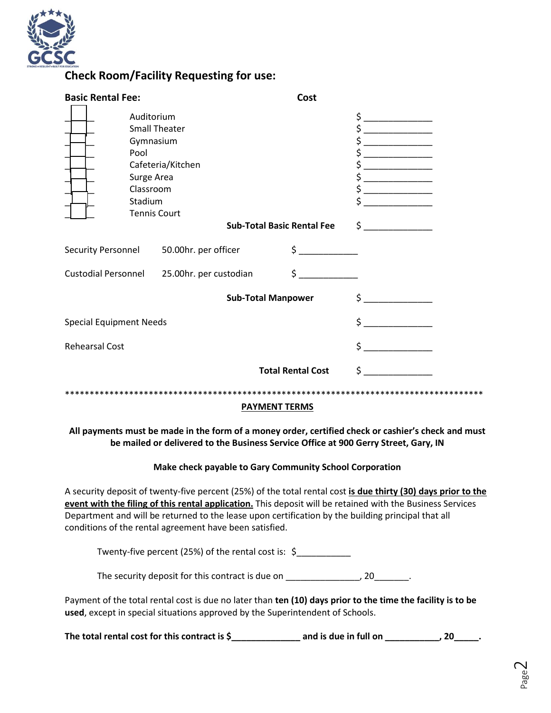

### **Check Room/Facility Requesting for use:**

| <b>Basic Rental Fee:</b>       |                                                                                                                      |                                            |                                   | Cost                     |                                                                                                                                                                                                                                                                                                                                                                                                                                                                                                                                                                                                                                                                                                                                                                                                               |  |
|--------------------------------|----------------------------------------------------------------------------------------------------------------------|--------------------------------------------|-----------------------------------|--------------------------|---------------------------------------------------------------------------------------------------------------------------------------------------------------------------------------------------------------------------------------------------------------------------------------------------------------------------------------------------------------------------------------------------------------------------------------------------------------------------------------------------------------------------------------------------------------------------------------------------------------------------------------------------------------------------------------------------------------------------------------------------------------------------------------------------------------|--|
|                                | Auditorium<br><b>Small Theater</b><br>Gymnasium<br>Pool<br>Surge Area<br>Classroom<br>Stadium<br><b>Tennis Court</b> | Cafeteria/Kitchen                          | <b>Sub-Total Basic Rental Fee</b> |                          | $\frac{1}{2}$<br>$\frac{1}{2}$<br>\$<br>\$<br>$\begin{array}{c} \n \uparrow \quad \quad \quad \downarrow \quad \quad \quad \quad \downarrow \quad \quad \quad \quad \downarrow \quad \quad \quad \downarrow \quad \quad \quad \downarrow \quad \quad \downarrow \quad \quad \downarrow \quad \quad \downarrow \quad \quad \downarrow \quad \quad \downarrow \quad \quad \downarrow \quad \quad \downarrow \quad \quad \downarrow \quad \quad \downarrow \quad \quad \downarrow \quad \quad \downarrow \quad \downarrow \quad \downarrow \quad \downarrow \quad \downarrow \quad \downarrow \quad \downarrow \quad \downarrow \quad \downarrow \quad \downarrow \quad \downarrow \quad \downarrow \quad \downarrow \quad \downarrow \quad \downarrow \quad \downarrow \quad \downarrow \quad$<br>$\frac{1}{2}$ |  |
|                                |                                                                                                                      | Security Personnel 50.00hr. per officer    |                                   | $\frac{1}{2}$            |                                                                                                                                                                                                                                                                                                                                                                                                                                                                                                                                                                                                                                                                                                                                                                                                               |  |
|                                |                                                                                                                      | Custodial Personnel 25.00hr. per custodian |                                   | $\frac{1}{2}$            |                                                                                                                                                                                                                                                                                                                                                                                                                                                                                                                                                                                                                                                                                                                                                                                                               |  |
|                                |                                                                                                                      |                                            | <b>Sub-Total Manpower</b>         |                          | $\frac{1}{2}$                                                                                                                                                                                                                                                                                                                                                                                                                                                                                                                                                                                                                                                                                                                                                                                                 |  |
| <b>Special Equipment Needs</b> |                                                                                                                      |                                            |                                   |                          | $\ddot{\zeta}$                                                                                                                                                                                                                                                                                                                                                                                                                                                                                                                                                                                                                                                                                                                                                                                                |  |
| <b>Rehearsal Cost</b>          |                                                                                                                      |                                            |                                   |                          | \$                                                                                                                                                                                                                                                                                                                                                                                                                                                                                                                                                                                                                                                                                                                                                                                                            |  |
|                                |                                                                                                                      |                                            |                                   | <b>Total Rental Cost</b> | \$                                                                                                                                                                                                                                                                                                                                                                                                                                                                                                                                                                                                                                                                                                                                                                                                            |  |
| $-100$ $-0.00$ $-0.00$         |                                                                                                                      |                                            |                                   |                          |                                                                                                                                                                                                                                                                                                                                                                                                                                                                                                                                                                                                                                                                                                                                                                                                               |  |

#### **PAYMENT TERMS**

**All payments must be made in the form of a money order, certified check or cashier's check and must be mailed or delivered to the Business Service Office at 900 Gerry Street, Gary, IN**

#### **Make check payable to Gary Community School Corporation**

A security deposit of twenty-five percent (25%) of the total rental cost **is due thirty (30) days prior to the event with the filing of this rental application.** This deposit will be retained with the Business Services Department and will be returned to the lease upon certification by the building principal that all conditions of the rental agreement have been satisfied.

Twenty-five percent (25%) of the rental cost is:  $\oint$ 

The security deposit for this contract is due on The security deposit for this contract is due on

Payment of the total rental cost is due no later than **ten (10) days prior to the time the facility is to be used**, except in special situations approved by the Superintendent of Schools.

The total rental cost for this contract is \$\_\_\_\_\_\_\_\_\_\_\_\_\_\_\_\_\_\_\_ and is due in full on \_\_\_\_\_\_\_\_\_\_\_, 20\_\_\_\_\_.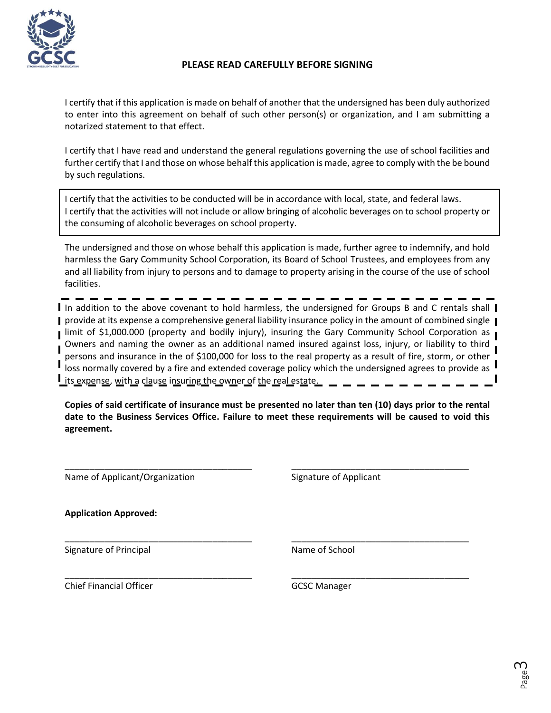

#### **PLEASE READ CAREFULLY BEFORE SIGNING**

I certify that if this application is made on behalf of another that the undersigned has been duly authorized to enter into this agreement on behalf of such other person(s) or organization, and I am submitting a notarized statement to that effect.

I certify that I have read and understand the general regulations governing the use of school facilities and further certify that I and those on whose behalf this application is made, agree to comply with the be bound by such regulations.

I certify that the activities to be conducted will be in accordance with local, state, and federal laws. I certify that the activities will not include or allow bringing of alcoholic beverages on to school property or the consuming of alcoholic beverages on school property.

The undersigned and those on whose behalf this application is made, further agree to indemnify, and hold harmless the Gary Community School Corporation, its Board of School Trustees, and employees from any and all liability from injury to persons and to damage to property arising in the course of the use of school facilities.

I In addition to the above covenant to hold harmless, the undersigned for Groups B and C rentals shall I **I** provide at its expense a comprehensive general liability insurance policy in the amount of combined single **I Ilimit of \$1,000.000 (property and bodily injury), insuring the Gary Community School Corporation as I** Owners and naming the owner as an additional named insured against loss, injury, or liability to third persons and insurance in the of \$100,000 for loss to the real property as a result of fire, storm, or other loss normally covered by a fire and extended coverage policy which the undersigned agrees to provide as  $\blacksquare$ **I** its expense, with a clause insuring the owner of the real estate.

**Copies of said certificate of insurance must be presented no later than ten (10) days prior to the rental date to the Business Services Office. Failure to meet these requirements will be caused to void this agreement.**

\_\_\_\_\_\_\_\_\_\_\_\_\_\_\_\_\_\_\_\_\_\_\_\_\_\_\_\_\_\_\_\_\_\_\_\_\_\_ \_\_\_\_\_\_\_\_\_\_\_\_\_\_\_\_\_\_\_\_\_\_\_\_\_\_\_\_\_\_\_\_\_\_\_\_

\_\_\_\_\_\_\_\_\_\_\_\_\_\_\_\_\_\_\_\_\_\_\_\_\_\_\_\_\_\_\_\_\_\_\_\_\_\_ \_\_\_\_\_\_\_\_\_\_\_\_\_\_\_\_\_\_\_\_\_\_\_\_\_\_\_\_\_\_\_\_\_\_\_\_

\_\_\_\_\_\_\_\_\_\_\_\_\_\_\_\_\_\_\_\_\_\_\_\_\_\_\_\_\_\_\_\_\_\_\_\_\_\_ \_\_\_\_\_\_\_\_\_\_\_\_\_\_\_\_\_\_\_\_\_\_\_\_\_\_\_\_\_\_\_\_\_\_\_\_

Name of Applicant/Organization Signature of Applicant

**Application Approved:**

Signature of Principal Name of School

Chief Financial Officer GCSC Manager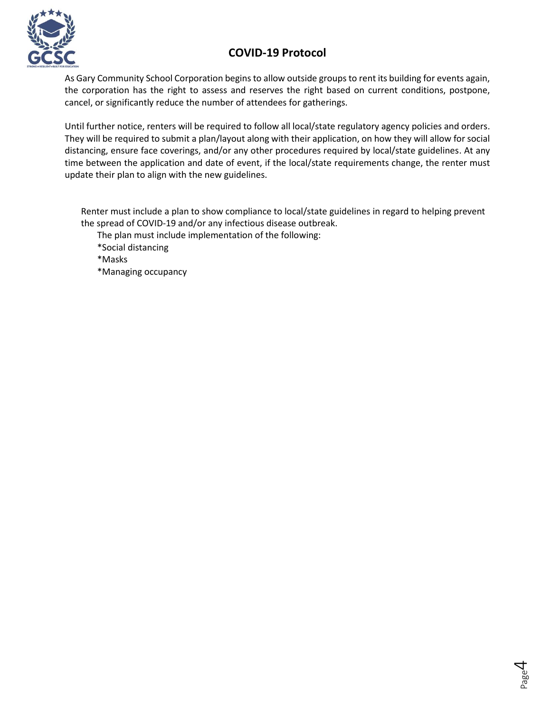# **COVID-19 Protocol**



As Gary Community School Corporation begins to allow outside groups to rent its building for events again, the corporation has the right to assess and reserves the right based on current conditions, postpone, cancel, or significantly reduce the number of attendees for gatherings.

Until further notice, renters will be required to follow all local/state regulatory agency policies and orders. They will be required to submit a plan/layout along with their application, on how they will allow for social distancing, ensure face coverings, and/or any other procedures required by local/state guidelines. At any time between the application and date of event, if the local/state requirements change, the renter must update their plan to align with the new guidelines.

Renter must include a plan to show compliance to local/state guidelines in regard to helping prevent the spread of COVID-19 and/or any infectious disease outbreak.

The plan must include implementation of the following:

\*Social distancing

\*Masks

\*Managing occupancy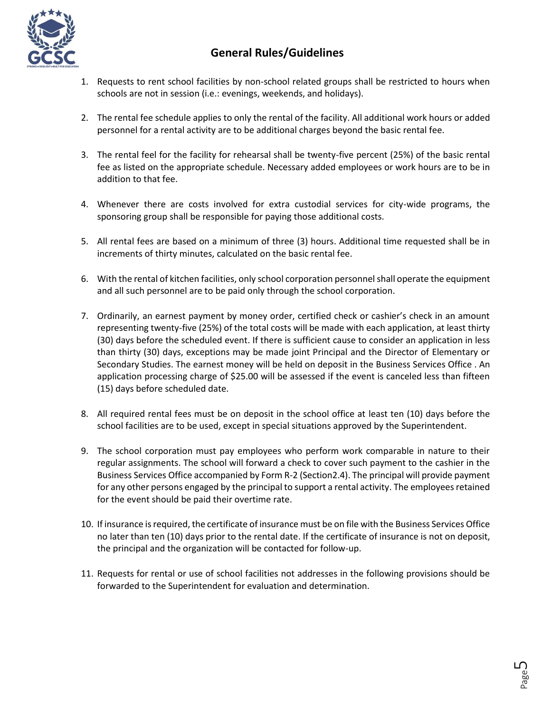

# **General Rules/Guidelines**

- 1. Requests to rent school facilities by non-school related groups shall be restricted to hours when schools are not in session (i.e.: evenings, weekends, and holidays).
- 2. The rental fee schedule applies to only the rental of the facility. All additional work hours or added personnel for a rental activity are to be additional charges beyond the basic rental fee.
- 3. The rental feel for the facility for rehearsal shall be twenty-five percent (25%) of the basic rental fee as listed on the appropriate schedule. Necessary added employees or work hours are to be in addition to that fee.
- 4. Whenever there are costs involved for extra custodial services for city-wide programs, the sponsoring group shall be responsible for paying those additional costs.
- 5. All rental fees are based on a minimum of three (3) hours. Additional time requested shall be in increments of thirty minutes, calculated on the basic rental fee.
- 6. With the rental of kitchen facilities, only school corporation personnel shall operate the equipment and all such personnel are to be paid only through the school corporation.
- 7. Ordinarily, an earnest payment by money order, certified check or cashier's check in an amount representing twenty-five (25%) of the total costs will be made with each application, at least thirty (30) days before the scheduled event. If there is sufficient cause to consider an application in less than thirty (30) days, exceptions may be made joint Principal and the Director of Elementary or Secondary Studies. The earnest money will be held on deposit in the Business Services Office . An application processing charge of \$25.00 will be assessed if the event is canceled less than fifteen (15) days before scheduled date.
- 8. All required rental fees must be on deposit in the school office at least ten (10) days before the school facilities are to be used, except in special situations approved by the Superintendent.
- 9. The school corporation must pay employees who perform work comparable in nature to their regular assignments. The school will forward a check to cover such payment to the cashier in the Business Services Office accompanied by Form R-2 (Section2.4). The principal will provide payment for any other persons engaged by the principal to support a rental activity. The employees retained for the event should be paid their overtime rate.
- 10. If insurance is required, the certificate of insurance must be on file with the Business Services Office no later than ten (10) days prior to the rental date. If the certificate of insurance is not on deposit, the principal and the organization will be contacted for follow-up.
- 11. Requests for rental or use of school facilities not addresses in the following provisions should be forwarded to the Superintendent for evaluation and determination.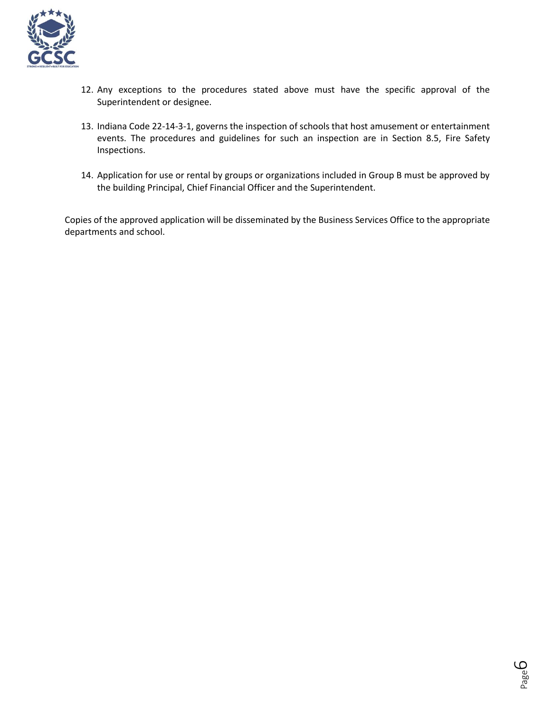

- 12. Any exceptions to the procedures stated above must have the specific approval of the Superintendent or designee.
- 13. Indiana Code 22-14-3-1, governs the inspection of schools that host amusement or entertainment events. The procedures and guidelines for such an inspection are in Section 8.5, Fire Safety Inspections.
- 14. Application for use or rental by groups or organizations included in Group B must be approved by the building Principal, Chief Financial Officer and the Superintendent.

Copies of the approved application will be disseminated by the Business Services Office to the appropriate departments and school.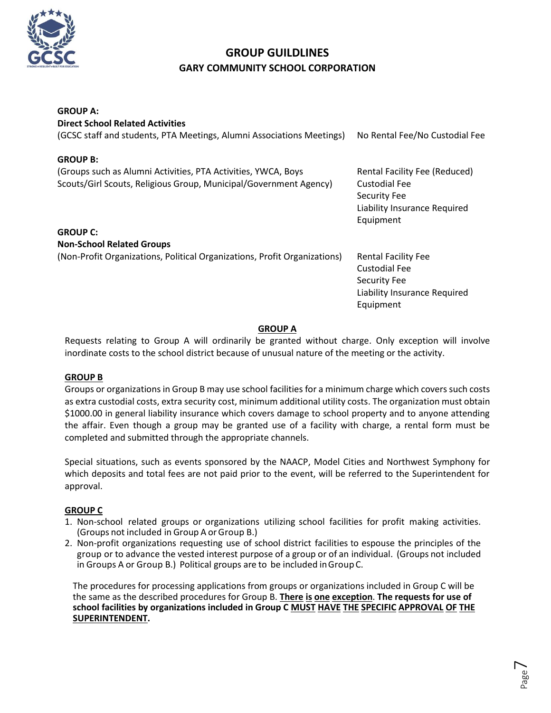

### **GROUP GUILDLINES GARY COMMUNITY SCHOOL CORPORATION**

| <b>GROUP A:</b>                                                                                                                    |                                                                                                                 |
|------------------------------------------------------------------------------------------------------------------------------------|-----------------------------------------------------------------------------------------------------------------|
| <b>Direct School Related Activities</b>                                                                                            |                                                                                                                 |
| (GCSC staff and students, PTA Meetings, Alumni Associations Meetings)                                                              | No Rental Fee/No Custodial Fee                                                                                  |
| <b>GROUP B:</b>                                                                                                                    |                                                                                                                 |
| (Groups such as Alumni Activities, PTA Activities, YWCA, Boys<br>Scouts/Girl Scouts, Religious Group, Municipal/Government Agency) | Rental Facility Fee (Reduced)<br>Custodial Fee<br>Security Fee<br>Liability Insurance Required<br>Equipment     |
| <b>GROUP C:</b>                                                                                                                    |                                                                                                                 |
| <b>Non-School Related Groups</b>                                                                                                   |                                                                                                                 |
| (Non-Profit Organizations, Political Organizations, Profit Organizations)                                                          | <b>Rental Facility Fee</b><br><b>Custodial Fee</b><br>Security Fee<br>Liability Insurance Required<br>Equipment |
|                                                                                                                                    |                                                                                                                 |

#### **GROUP A**

Requests relating to Group A will ordinarily be granted without charge. Only exception will involve inordinate costs to the school district because of unusual nature of the meeting or the activity.

#### **GROUP B**

Groups or organizations in Group B may use school facilities for a minimum charge which covers such costs as extra custodial costs, extra security cost, minimum additional utility costs. The organization must obtain \$1000.00 in general liability insurance which covers damage to school property and to anyone attending the affair. Even though a group may be granted use of a facility with charge, a rental form must be completed and submitted through the appropriate channels.

Special situations, such as events sponsored by the NAACP, Model Cities and Northwest Symphony for which deposits and total fees are not paid prior to the event, will be referred to the Superintendent for approval.

#### **GROUP C**

- 1. Non-school related groups or organizations utilizing school facilities for profit making activities. (Groups not included in Group A orGroup B.)
- 2. Non-profit organizations requesting use of school district facilities to espouse the principles of the group or to advance the vested interest purpose of a group or of an individual. (Groups not included in Groups A or Group B.) Political groups are to be included inGroupC.

The procedures for processing applications from groups or organizations included in Group C will be the same as the described procedures for Group B. **There is one exception**. **The requests for use of school facilities by organizations included in Group C MUST HAVE THE SPECIFIC APPROVAL OF THE SUPERINTENDENT.**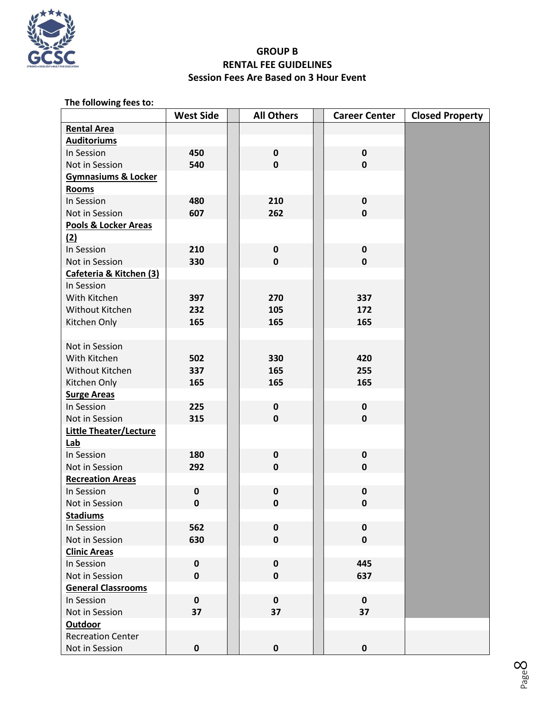

### **GROUP B RENTAL FEE GUIDELINES Session Fees Are Based on 3 Hour Event**

| The following fees to:         |                  |  |                   |  |                      |                        |  |  |
|--------------------------------|------------------|--|-------------------|--|----------------------|------------------------|--|--|
|                                | <b>West Side</b> |  | <b>All Others</b> |  | <b>Career Center</b> | <b>Closed Property</b> |  |  |
| <b>Rental Area</b>             |                  |  |                   |  |                      |                        |  |  |
| <b>Auditoriums</b>             |                  |  |                   |  |                      |                        |  |  |
| In Session                     | 450              |  | $\mathbf 0$       |  | $\pmb{0}$            |                        |  |  |
| Not in Session                 | 540              |  | $\mathbf 0$       |  | $\mathbf 0$          |                        |  |  |
| <b>Gymnasiums &amp; Locker</b> |                  |  |                   |  |                      |                        |  |  |
| <b>Rooms</b>                   |                  |  |                   |  |                      |                        |  |  |
| In Session                     | 480              |  | 210               |  | $\pmb{0}$            |                        |  |  |
| Not in Session                 | 607              |  | 262               |  | $\mathbf 0$          |                        |  |  |
| Pools & Locker Areas           |                  |  |                   |  |                      |                        |  |  |
| (2)                            |                  |  |                   |  |                      |                        |  |  |
| In Session                     | 210              |  | $\pmb{0}$         |  | $\mathbf 0$          |                        |  |  |
| Not in Session                 | 330              |  | $\mathbf 0$       |  | $\mathbf 0$          |                        |  |  |
| Cafeteria & Kitchen (3)        |                  |  |                   |  |                      |                        |  |  |
| In Session                     |                  |  |                   |  |                      |                        |  |  |
| With Kitchen                   | 397              |  | 270               |  | 337                  |                        |  |  |
| Without Kitchen                | 232              |  | 105               |  | 172                  |                        |  |  |
| Kitchen Only                   | 165              |  | 165               |  | 165                  |                        |  |  |
|                                |                  |  |                   |  |                      |                        |  |  |
| Not in Session                 |                  |  |                   |  |                      |                        |  |  |
| With Kitchen                   | 502              |  | 330               |  | 420                  |                        |  |  |
| Without Kitchen                | 337              |  | 165               |  | 255                  |                        |  |  |
| Kitchen Only                   | 165              |  | 165               |  | 165                  |                        |  |  |
| <b>Surge Areas</b>             |                  |  |                   |  |                      |                        |  |  |
| In Session                     | 225              |  | $\pmb{0}$         |  | $\pmb{0}$            |                        |  |  |
| Not in Session                 | 315              |  | $\mathbf 0$       |  | $\mathbf 0$          |                        |  |  |
| <b>Little Theater/Lecture</b>  |                  |  |                   |  |                      |                        |  |  |
| Lab                            |                  |  |                   |  |                      |                        |  |  |
| In Session                     | 180              |  | $\pmb{0}$         |  | $\mathbf 0$          |                        |  |  |
| Not in Session                 | 292              |  | $\mathbf 0$       |  | $\mathbf 0$          |                        |  |  |
| <b>Recreation Areas</b>        |                  |  |                   |  |                      |                        |  |  |
| In Session                     | 0                |  | $\pmb{0}$         |  | $\pmb{0}$            |                        |  |  |
| Not in Session                 | 0                |  | 0                 |  | 0                    |                        |  |  |
| <b>Stadiums</b>                |                  |  |                   |  |                      |                        |  |  |
| In Session                     | 562              |  | $\pmb{0}$         |  | $\mathbf 0$          |                        |  |  |
| Not in Session                 | 630              |  | $\mathbf 0$       |  | $\mathbf 0$          |                        |  |  |
| <b>Clinic Areas</b>            |                  |  |                   |  |                      |                        |  |  |
| In Session                     | $\pmb{0}$        |  | $\pmb{0}$         |  | 445                  |                        |  |  |
| Not in Session                 | $\mathbf 0$      |  | $\mathbf 0$       |  | 637                  |                        |  |  |
| <b>General Classrooms</b>      |                  |  |                   |  |                      |                        |  |  |
| In Session                     | $\pmb{0}$        |  | $\mathbf 0$       |  | $\pmb{0}$            |                        |  |  |
| Not in Session                 | 37               |  | 37                |  | 37                   |                        |  |  |
| Outdoor                        |                  |  |                   |  |                      |                        |  |  |
| <b>Recreation Center</b>       |                  |  |                   |  |                      |                        |  |  |
| Not in Session                 | $\pmb{0}$        |  | $\pmb{0}$         |  | 0                    |                        |  |  |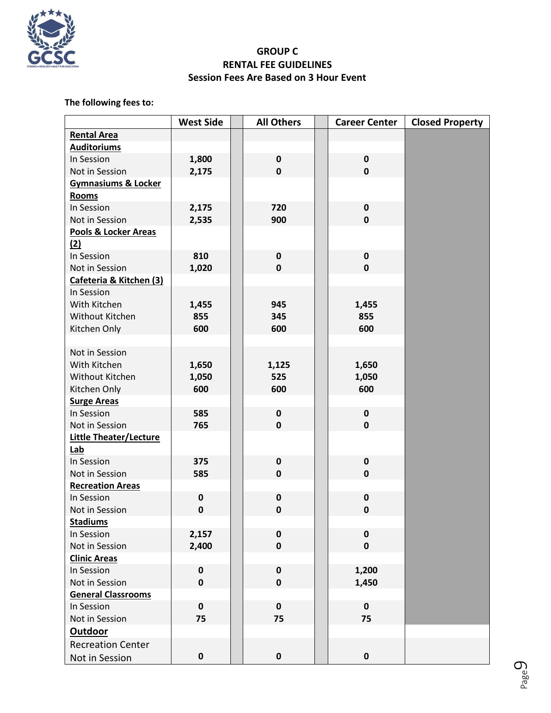

### **GROUP C RENTAL FEE GUIDELINES Session Fees Are Based on 3 Hour Event**

### **The following fees to:**

|                                | <b>West Side</b> | <b>All Others</b> | <b>Career Center</b> | <b>Closed Property</b> |
|--------------------------------|------------------|-------------------|----------------------|------------------------|
| <b>Rental Area</b>             |                  |                   |                      |                        |
| <b>Auditoriums</b>             |                  |                   |                      |                        |
| In Session                     | 1,800            | $\mathbf 0$       | $\mathbf 0$          |                        |
| Not in Session                 | 2,175            | $\mathbf 0$       | $\mathbf 0$          |                        |
| <b>Gymnasiums &amp; Locker</b> |                  |                   |                      |                        |
| Rooms                          |                  |                   |                      |                        |
| In Session                     | 2,175            | 720               | $\pmb{0}$            |                        |
| Not in Session                 | 2,535            | 900               | $\mathbf 0$          |                        |
| Pools & Locker Areas           |                  |                   |                      |                        |
| (2)                            |                  |                   |                      |                        |
| In Session                     | 810              | $\pmb{0}$         | $\pmb{0}$            |                        |
| Not in Session                 | 1,020            | $\mathbf 0$       | $\mathbf 0$          |                        |
| Cafeteria & Kitchen (3)        |                  |                   |                      |                        |
| In Session                     |                  |                   |                      |                        |
| With Kitchen                   | 1,455            | 945               | 1,455                |                        |
| Without Kitchen                | 855              | 345               | 855                  |                        |
| Kitchen Only                   | 600              | 600               | 600                  |                        |
|                                |                  |                   |                      |                        |
| Not in Session                 |                  |                   |                      |                        |
| With Kitchen                   | 1,650            | 1,125             | 1,650                |                        |
| Without Kitchen                | 1,050            | 525               | 1,050                |                        |
| Kitchen Only                   | 600              | 600               | 600                  |                        |
| <b>Surge Areas</b>             |                  |                   |                      |                        |
| In Session                     | 585              | $\pmb{0}$         | $\pmb{0}$            |                        |
| Not in Session                 | 765              | $\mathbf 0$       | $\mathbf 0$          |                        |
| <b>Little Theater/Lecture</b>  |                  |                   |                      |                        |
| Lab                            |                  |                   |                      |                        |
| In Session                     | 375              | $\mathbf 0$       | $\mathbf 0$          |                        |
| Not in Session                 | 585              | $\mathbf 0$       | $\mathbf 0$          |                        |
| <b>Recreation Areas</b>        |                  |                   |                      |                        |
| In Session                     | 0                | $\pmb{0}$         | 0                    |                        |
| Not in Session                 | $\pmb{0}$        | $\pmb{0}$         | 0                    |                        |
| <b>Stadiums</b>                |                  |                   |                      |                        |
| In Session                     | 2,157            | $\pmb{0}$         | $\pmb{0}$            |                        |
| Not in Session                 | 2,400            | $\mathbf 0$       | $\mathbf 0$          |                        |
| <b>Clinic Areas</b>            |                  |                   |                      |                        |
| In Session                     | 0                | $\pmb{0}$         | 1,200                |                        |
| Not in Session                 | $\mathbf 0$      | $\mathbf 0$       | 1,450                |                        |
| <b>General Classrooms</b>      |                  |                   |                      |                        |
| In Session                     | $\mathbf 0$      | $\mathbf 0$       | $\pmb{0}$            |                        |
| Not in Session                 | 75               | 75                | 75                   |                        |
| <b>Outdoor</b>                 |                  |                   |                      |                        |
| <b>Recreation Center</b>       |                  |                   |                      |                        |
| Not in Session                 | $\pmb{0}$        | $\mathbf 0$       | $\pmb{0}$            |                        |